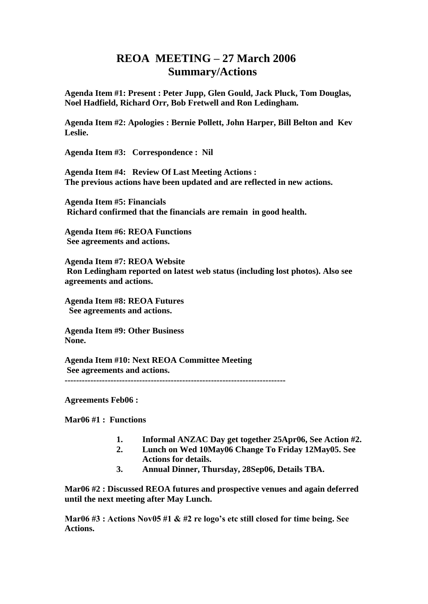## **REOA MEETING – 27 March 2006 Summary/Actions**

**Agenda Item #1: Present : Peter Jupp, Glen Gould, Jack Pluck, Tom Douglas, Noel Hadfield, Richard Orr, Bob Fretwell and Ron Ledingham.**

**Agenda Item #2: Apologies : Bernie Pollett, John Harper, Bill Belton and Kev Leslie.** 

**Agenda Item #3: Correspondence : Nil**

**Agenda Item #4: Review Of Last Meeting Actions : The previous actions have been updated and are reflected in new actions.**

**Agenda Item #5: Financials Richard confirmed that the financials are remain in good health.** 

**Agenda Item #6: REOA Functions See agreements and actions.**

**Agenda Item #7: REOA Website Ron Ledingham reported on latest web status (including lost photos). Also see agreements and actions.**

**Agenda Item #8: REOA Futures See agreements and actions.**

**Agenda Item #9: Other Business None.**

**Agenda Item #10: Next REOA Committee Meeting See agreements and actions. -----------------------------------------------------------------------------**

**Agreements Feb06 :**

**Mar06 #1 : Functions**

- **1. Informal ANZAC Day get together 25Apr06, See Action #2.**
- **2. Lunch on Wed 10May06 Change To Friday 12May05. See Actions for details.**
- **3. Annual Dinner, Thursday, 28Sep06, Details TBA.**

**Mar06 #2 : Discussed REOA futures and prospective venues and again deferred until the next meeting after May Lunch.** 

**Mar06 #3 : Actions Nov05 #1 & #2 re logo's etc still closed for time being. See Actions.**